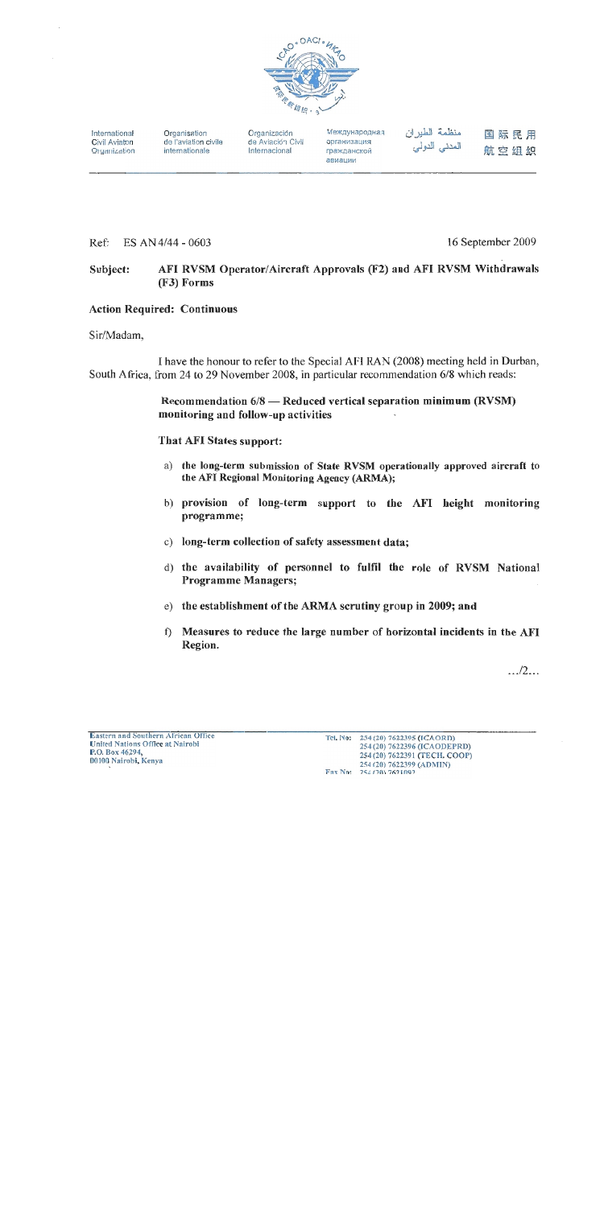

International Civil Aviaton Organization Organisation de l'aviation civile internationale

Organización de Aviación Civil Internacional

Международная организация гражданской авиации

منظمة الطيران المدني الدولي

国际民用 航空组织

Ref: ES AN 4/44 - 0603 16 September 2009

#### AFI RVSM Operator/Aircraft Approvals (F2) and AFI RVSM Withdrawals Subject: (F3) Forms

# **Action Required: Continuous**

Sir/Madam,

I have the honour to refer to the Special AFI RAN (2008) meeting held in Durban, South Africa, from 24 to 29 November 2008, in particular recommendation 6/8 which reads:

> Recommendation 6/8 — Reduced vertical separation minimum (RVSM) monitoring and follow-up activities

That AFI States support:

- a) the long-term submission of State RVSM operationally approved aircraft to the AFI Regional Monitoring Agency (ARMA);
- b) provision of long-term support to the AFI height monitoring programme;
- c) long-term collection of safety assessment data;
- d) the availability of personnel to fulfil the role of RVSM National **Programme Managers;**
- e) the establishment of the ARMA scrutiny group in 2009; and
- $\hat{\Pi}$ Measures to reduce the large number of horizontal incidents in the AFI Region.

 $\ldots/2$ ...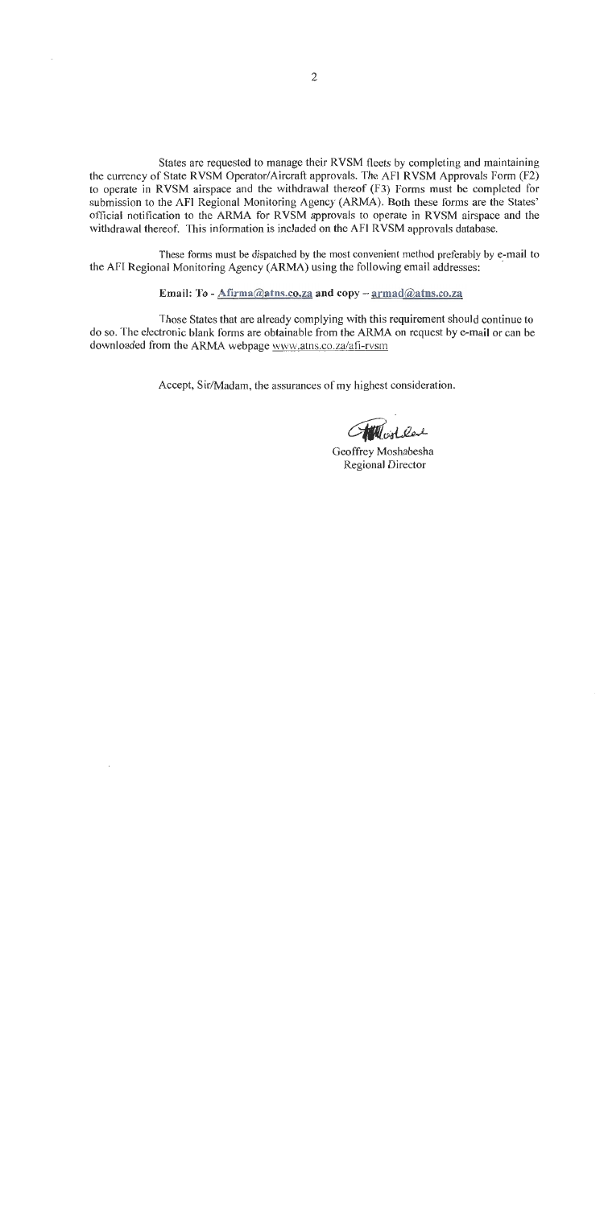States are requested to manage their RVSM fleets by completing and maintaining the currency of State RVSM Operator/Aircraft approvals. The AFI RVSM Approvals Form (F2) to operate in RVSM airspace and the withdrawal thereof (F3) Forms must be completed for submission to the AFI Regional Monitoring Agency (ARMA). Both these forms are the States' official notification to the ARMA for RVSM approvals to operate in RVSM airspace and the withdrawal thereof. This information is included on the AFI RVSM approvals database.

These forms must be dispatched by the most convenient method preferably by e-mail to the AFI Regional Monitoring Agency (ARMA) using the following email addresses:

Email: To - Afirma@atns.co.za and copy -  $\text{armad@atns.co.za}$ 

Those States that are already complying with this requirement should continue to do so. The electronic blank forms are obtainable from the ARMA on request by e-mail or can be downloaded from the ARMA webpage www.atns.co.za/afi-rvsm

Accept, Sir/Madam, the assurances of my highest consideration.

Antonica

Geoffrey Moshabesha **Regional Director**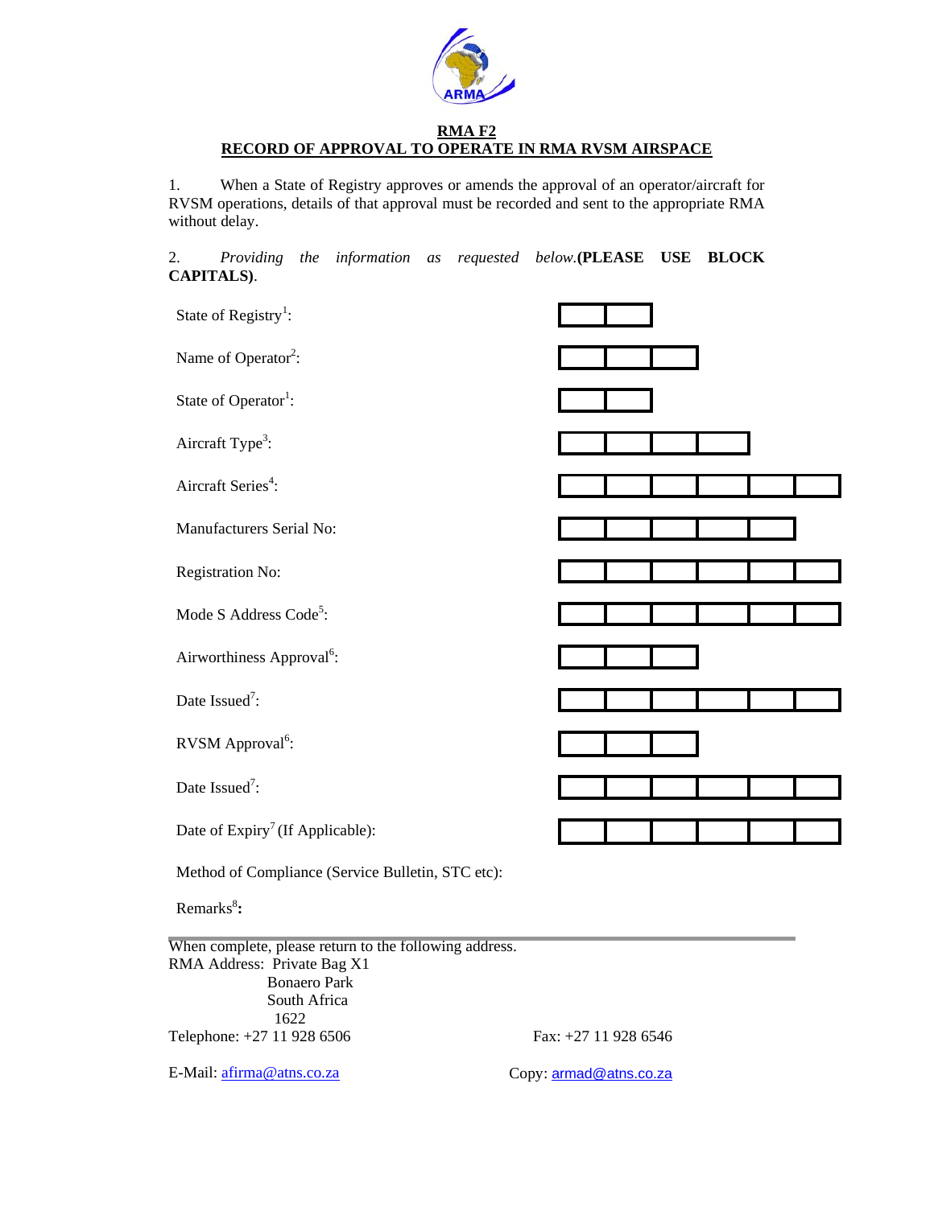

#### **RMA F2 RECORD OF APPROVAL TO OPERATE IN RMA RVSM AIRSPACE**

1. When a State of Registry approves or amends the approval of an operator/aircraft for RVSM operations, details of that approval must be recorded and sent to the appropriate RMA without delay.

2. *Providing the information as requested below.***(PLEASE USE BLOCK CAPITALS)**.

| State of Registry <sup>1</sup> :                                                                                             |  |
|------------------------------------------------------------------------------------------------------------------------------|--|
| Name of Operator <sup>2</sup> :                                                                                              |  |
| State of Operator <sup>1</sup> :                                                                                             |  |
| Aircraft Type <sup>3</sup> :                                                                                                 |  |
| Aircraft Series <sup>4</sup> :                                                                                               |  |
| Manufacturers Serial No:                                                                                                     |  |
| Registration No:                                                                                                             |  |
| Mode S Address Code <sup>5</sup> :                                                                                           |  |
| Airworthiness Approval <sup>6</sup> :                                                                                        |  |
| Date Issued <sup>7</sup> :                                                                                                   |  |
| RVSM Approval <sup>6</sup> :                                                                                                 |  |
| Date Issued <sup>7</sup> :                                                                                                   |  |
| Date of Expiry <sup>7</sup> (If Applicable):                                                                                 |  |
| Method of Compliance (Service Bulletin, STC etc):                                                                            |  |
| Remarks <sup>8</sup> :                                                                                                       |  |
| When complete, please return to the following address.<br>RMA Address: Private Bag X1<br><b>Bonaero Park</b><br>South Africa |  |

 1622 Telephone: +27 11 928 6506 Fax: +27 11 928 6546

E-Mail: afirma@atns.co.za Copy: armad@atns.co.za